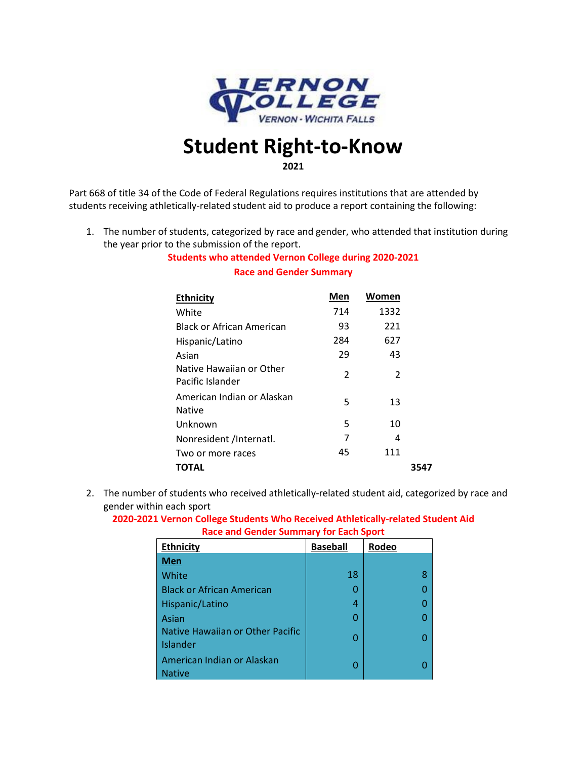

## **Student Right-to-Know 2021**

Part 668 of title 34 of the Code of Federal Regulations requires institutions that are attended by students receiving athletically-related student aid to produce a report containing the following:

1. The number of students, categorized by race and gender, who attended that institution during the year prior to the submission of the report.

## **Students who attended Vernon College during 2020-2021 Race and Gender Summary**

| <b>Ethnicity</b>                             | Men | Women |      |
|----------------------------------------------|-----|-------|------|
| White                                        | 714 | 1332  |      |
| Black or African American                    | 93  | 221   |      |
| Hispanic/Latino                              | 284 | 627   |      |
| Asian                                        | 29  | 43    |      |
| Native Hawaiian or Other<br>Pacific Islander | 2   | 2     |      |
| American Indian or Alaskan<br>Native         | 5   | 13    |      |
| Unknown                                      | 5   | 10    |      |
| Nonresident /Internatl.                      | 7   | 4     |      |
| Two or more races                            | 45  | 111   |      |
| TOTAL                                        |     |       | 3547 |

2. The number of students who received athletically-related student aid, categorized by race and gender within each sport

**2020-2021 Vernon College Students Who Received Athletically-related Student Aid Race and Gender Summary for Each Sport**

| <b>Ethnicity</b>                             | <b>Baseball</b> | Rodeo |
|----------------------------------------------|-----------------|-------|
| Men                                          |                 |       |
| White                                        | 18              | 8     |
| <b>Black or African American</b>             | ი               |       |
| Hispanic/Latino                              | 4               |       |
| Asian                                        | ი               |       |
| Native Hawaiian or Other Pacific<br>Islander | ი               |       |
| American Indian or Alaskan<br><b>Native</b>  | ი               |       |